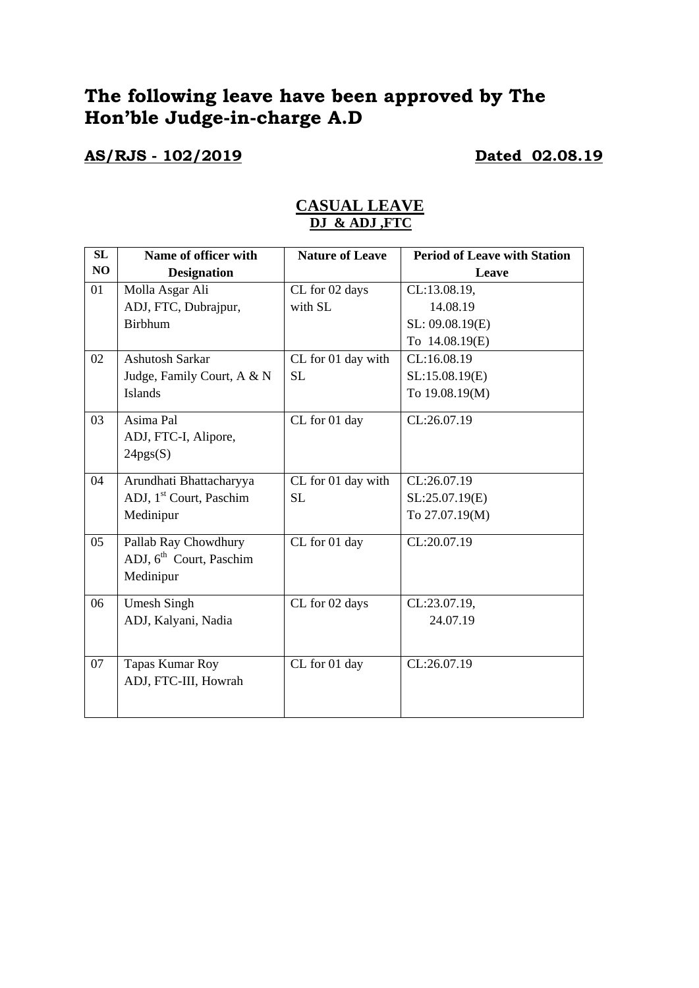# **The following leave have been approved by The Hon'ble Judge-in-charge A.D**

## **AS/RJS - 102/2019 Dated 02.08.19**

| SL | Name of officer with                | <b>Nature of Leave</b> | <b>Period of Leave with Station</b> |
|----|-------------------------------------|------------------------|-------------------------------------|
| NO | <b>Designation</b>                  |                        | Leave                               |
| 01 | Molla Asgar Ali                     | CL for 02 days         | CL:13.08.19,                        |
|    | ADJ, FTC, Dubrajpur,                | with SL                | 14.08.19                            |
|    | <b>Birbhum</b>                      |                        | SL: 09.08.19(E)                     |
|    |                                     |                        | To 14.08.19(E)                      |
| 02 | <b>Ashutosh Sarkar</b>              | CL for 01 day with     | CL:16.08.19                         |
|    | Judge, Family Court, A & N          | <b>SL</b>              | SL:15.08.19(E)                      |
|    | <b>Islands</b>                      |                        | To 19.08.19(M)                      |
| 03 | Asima Pal                           | CL for 01 day          | CL:26.07.19                         |
|    | ADJ, FTC-I, Alipore,                |                        |                                     |
|    | 24pgs(S)                            |                        |                                     |
|    |                                     |                        |                                     |
| 04 | Arundhati Bhattacharyya             | CL for 01 day with     | CL:26.07.19                         |
|    | ADJ, 1 <sup>st</sup> Court, Paschim | <b>SL</b>              | SL:25.07.19(E)                      |
|    | Medinipur                           |                        | To 27.07.19(M)                      |
| 05 | Pallab Ray Chowdhury                | CL for 01 day          | CL:20.07.19                         |
|    | ADJ, 6 <sup>th</sup> Court, Paschim |                        |                                     |
|    | Medinipur                           |                        |                                     |
| 06 | <b>Umesh Singh</b>                  | CL for 02 days         | CL:23.07.19,                        |
|    | ADJ, Kalyani, Nadia                 |                        | 24.07.19                            |
|    |                                     |                        |                                     |
| 07 | Tapas Kumar Roy                     | CL for 01 day          | CL:26.07.19                         |
|    | ADJ, FTC-III, Howrah                |                        |                                     |
|    |                                     |                        |                                     |
|    |                                     |                        |                                     |

### **CASUAL LEAVE DJ & ADJ ,FTC**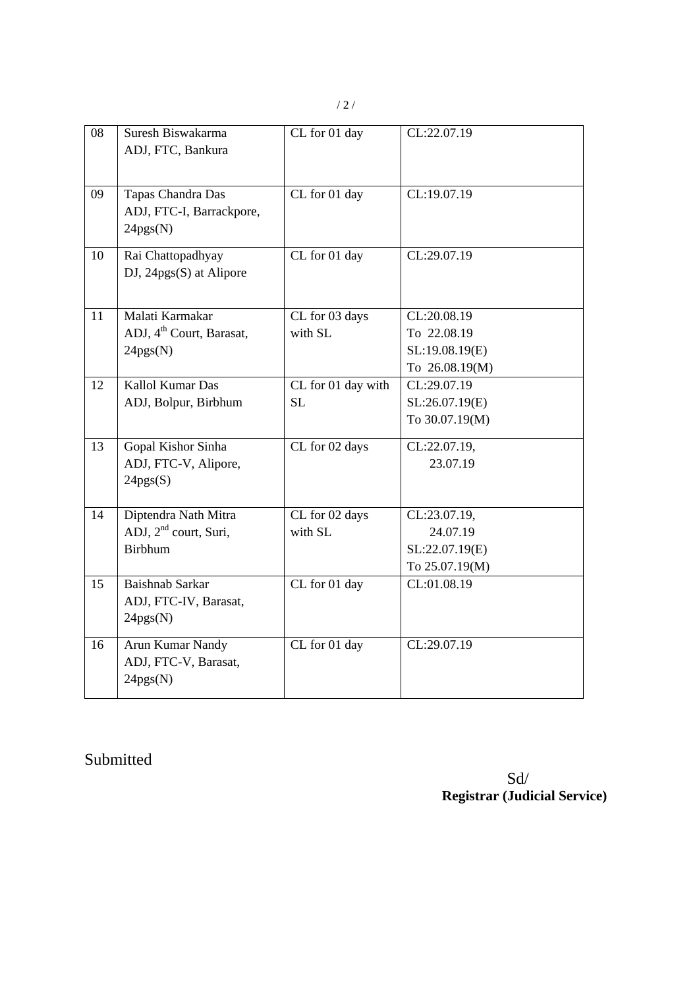/ 2 /

| 08 | Suresh Biswakarma<br>ADJ, FTC, Bankura                      | CL for 01 day                   | CL:22.07.19                   |
|----|-------------------------------------------------------------|---------------------------------|-------------------------------|
| 09 | Tapas Chandra Das<br>ADJ, FTC-I, Barrackpore,<br>24pgs(N)   | CL for 01 day                   | CL:19.07.19                   |
| 10 | Rai Chattopadhyay<br>$DJ$ , 24pgs $(S)$ at Alipore          | CL for 01 day                   | CL:29.07.19                   |
| 11 | Malati Karmakar                                             | CL for 03 days                  | CL:20.08.19                   |
|    | ADJ, 4 <sup>th</sup> Court, Barasat,                        | with SL                         | To 22.08.19                   |
|    | 24pgs(N)                                                    |                                 | SL:19.08.19(E)                |
| 12 | Kallol Kumar Das                                            |                                 | To 26.08.19(M)<br>CL:29.07.19 |
|    | ADJ, Bolpur, Birbhum                                        | CL for 01 day with<br><b>SL</b> | SL:26.07.19(E)                |
|    |                                                             |                                 | To 30.07.19(M)                |
| 13 | Gopal Kishor Sinha                                          | CL for 02 days                  | CL:22.07.19,                  |
|    | ADJ, FTC-V, Alipore,                                        |                                 | 23.07.19                      |
|    | 24pgs(S)                                                    |                                 |                               |
| 14 | Diptendra Nath Mitra                                        | CL for 02 days                  | CL:23.07.19,                  |
|    | ADJ, 2 <sup>nd</sup> court, Suri,                           | with SL                         | 24.07.19                      |
|    | <b>Birbhum</b>                                              |                                 | SL:22.07.19(E)                |
|    |                                                             |                                 | To 25.07.19(M)                |
| 15 | <b>Baishnab Sarkar</b><br>ADJ, FTC-IV, Barasat,<br>24pgs(N) | CL for 01 day                   | CL:01.08.19                   |
| 16 | Arun Kumar Nandy<br>ADJ, FTC-V, Barasat,<br>24pgs(N)        | CL for 01 day                   | CL:29.07.19                   |

Submitted

 Sd/ **Registrar (Judicial Service)**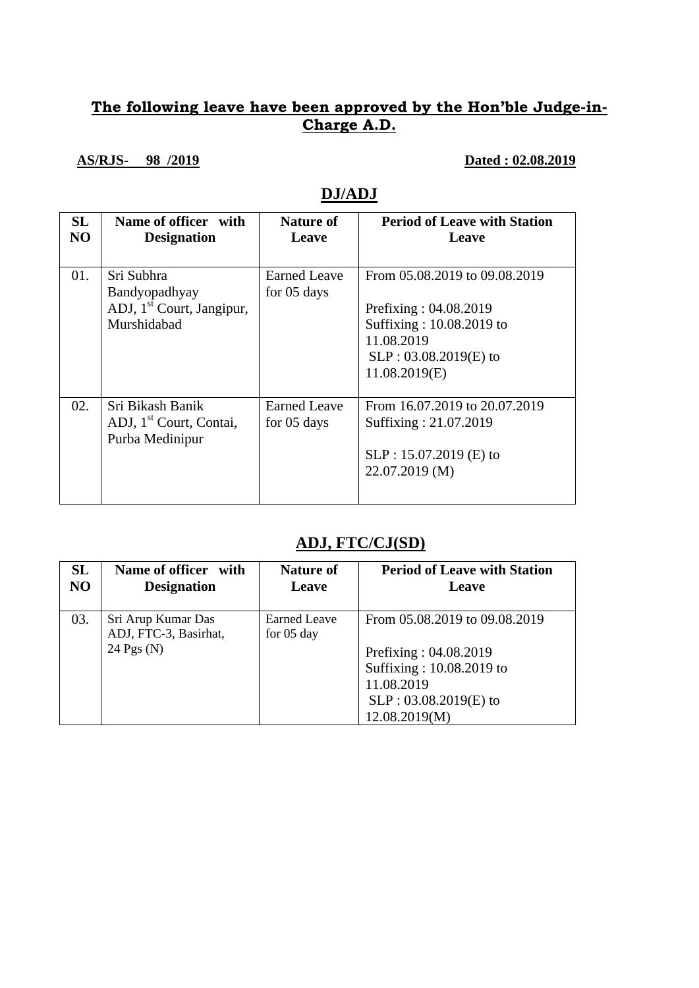## **The following leave have been approved by the Hon'ble Judge-in-Charge A.D.**

### **AS/RJS- 98 /2019 Dated : 02.08.2019**

## **DJ/ADJ**

| SL<br>N <sub>O</sub> | Name of officer with<br><b>Designation</b>                                          | Nature of<br>Leave                 | <b>Period of Leave with Station</b><br>Leave                                                                                                    |
|----------------------|-------------------------------------------------------------------------------------|------------------------------------|-------------------------------------------------------------------------------------------------------------------------------------------------|
| 01.                  | Sri Subhra<br>Bandyopadhyay<br>ADJ, 1 <sup>st</sup> Court, Jangipur,<br>Murshidabad | Earned Leave<br>for 05 days        | From 05.08.2019 to 09.08.2019<br>Prefixing : $04.08.2019$<br>Suffixing: 10.08.2019 to<br>11.08.2019<br>$SLP: 03.08.2019(E)$ to<br>11.08.2019(E) |
| 02.                  | Sri Bikash Banik<br>ADJ, 1 <sup>st</sup> Court, Contai,<br>Purba Medinipur          | <b>Earned Leave</b><br>for 05 days | From 16.07.2019 to 20.07.2019<br>Suffixing: 21.07.2019<br>$SLP: 15.07.2019$ (E) to<br>22.07.2019 (M)                                            |

## **ADJ, FTC/CJ(SD)**

| <b>SL</b>      | Name of officer with                                        | <b>Nature of</b>                     | <b>Period of Leave with Station</b>                                                                                                          |
|----------------|-------------------------------------------------------------|--------------------------------------|----------------------------------------------------------------------------------------------------------------------------------------------|
| N <sub>O</sub> | <b>Designation</b>                                          | Leave                                | Leave                                                                                                                                        |
| 03.            | Sri Arup Kumar Das<br>ADJ, FTC-3, Basirhat,<br>24 Pgs $(N)$ | Earned Leave<br>for $05 \text{ day}$ | From 05.08.2019 to 09.08.2019<br>Prefixing: 04.08.2019<br>Suffixing: 10.08.2019 to<br>11.08.2019<br>$SLP: 03.08.2019(E)$ to<br>12.08.2019(M) |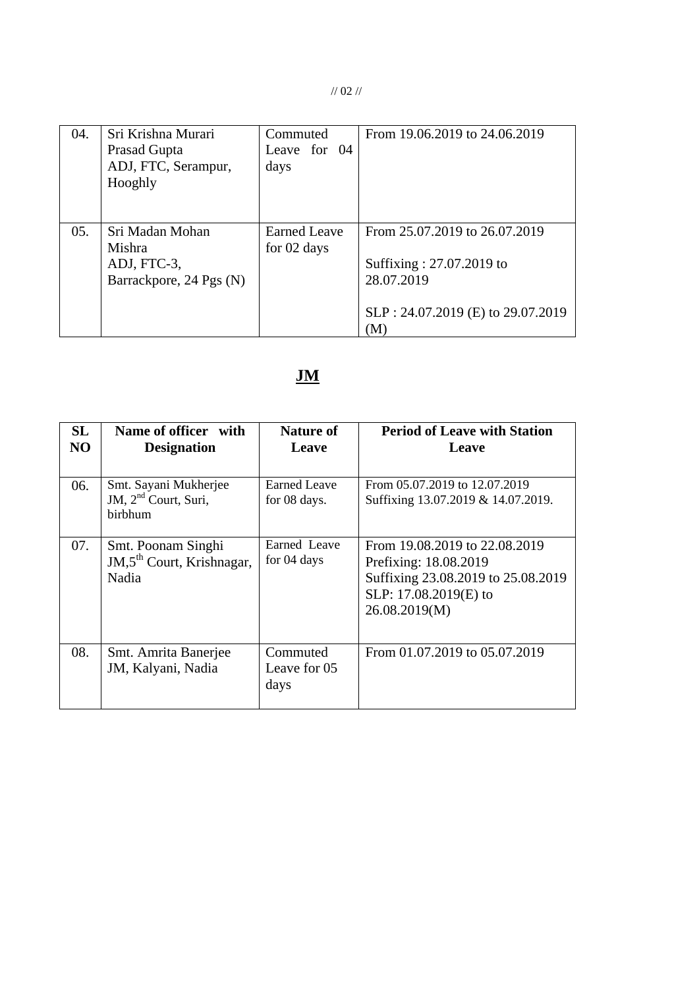// 02 //

| 04. | Sri Krishna Murari<br>Prasad Gupta<br>ADJ, FTC, Serampur,<br>Hooghly | Commuted<br>Leave for 04<br>days   | From 19.06.2019 to 24.06.2019                                                                                       |
|-----|----------------------------------------------------------------------|------------------------------------|---------------------------------------------------------------------------------------------------------------------|
| 05. | Sri Madan Mohan<br>Mishra<br>ADJ, FTC-3,<br>Barrackpore, 24 Pgs (N)  | <b>Earned Leave</b><br>for 02 days | From 25.07.2019 to 26.07.2019<br>Suffixing: 27.07.2019 to<br>28.07.2019<br>SLP: 24.07.2019 (E) to 29.07.2019<br>(M) |

# **JM**

| <b>SL</b><br>N <sub>O</sub> | Name of officer with<br><b>Designation</b>                                  | <b>Nature of</b><br>Leave        | <b>Period of Leave with Station</b><br>Leave                                                                                           |
|-----------------------------|-----------------------------------------------------------------------------|----------------------------------|----------------------------------------------------------------------------------------------------------------------------------------|
| 06.                         | Smt. Sayani Mukherjee<br>JM, 2 <sup>nd</sup> Court, Suri,<br><b>birbhum</b> | Earned Leave<br>for 08 days.     | From 05.07.2019 to 12.07.2019<br>Suffixing 13.07.2019 & 14.07.2019.                                                                    |
| 07.                         | Smt. Poonam Singhi<br>JM,5 <sup>th</sup> Court, Krishnagar,<br>Nadia        | Earned Leave<br>for 04 days      | From 19.08.2019 to 22.08.2019<br>Prefixing: 18.08.2019<br>Suffixing 23.08.2019 to 25.08.2019<br>SLP: 17.08.2019(E) to<br>26.08.2019(M) |
| 08.                         | Smt. Amrita Banerjee<br>JM, Kalyani, Nadia                                  | Commuted<br>Leave for 05<br>days | From 01.07.2019 to 05.07.2019                                                                                                          |